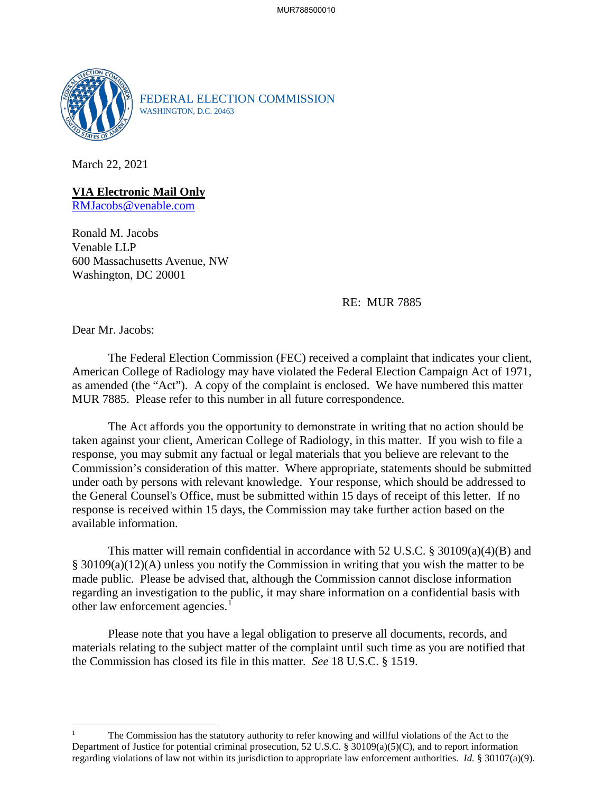

FEDERAL ELECTION COMMISSION WASHINGTON, D.C. 20463

March 22, 2021

**VIA Electronic Mail Only**

RMJacobs@venable.com

Ronald M. Jacobs Venable LLP 600 Massachusetts Avenue, NW Washington, DC 20001

RE: MUR 7885

Dear Mr. Jacobs:

The Federal Election Commission (FEC) received a complaint that indicates your client, American College of Radiology may have violated the Federal Election Campaign Act of 1971, as amended (the "Act"). A copy of the complaint is enclosed. We have numbered this matter MUR 7885. Please refer to this number in all future correspondence.

The Act affords you the opportunity to demonstrate in writing that no action should be taken against your client, American College of Radiology, in this matter. If you wish to file a response, you may submit any factual or legal materials that you believe are relevant to the Commission's consideration of this matter. Where appropriate, statements should be submitted under oath by persons with relevant knowledge. Your response, which should be addressed to the General Counsel's Office, must be submitted within 15 days of receipt of this letter. If no response is received within 15 days, the Commission may take further action based on the available information.

This matter will remain confidential in accordance with 52 U.S.C.  $\S 30109(a)(4)(B)$  and § 30109(a)(12)(A) unless you notify the Commission in writing that you wish the matter to be made public. Please be advised that, although the Commission cannot disclose information regarding an investigation to the public, it may share information on a confidential basis with other law enforcement agencies.<sup>1</sup>

Please note that you have a legal obligation to preserve all documents, records, and materials relating to the subject matter of the complaint until such time as you are notified that the Commission has closed its file in this matter. *See* 18 U.S.C. § 1519.

<sup>1</sup> The Commission has the statutory authority to refer knowing and willful violations of the Act to the Department of Justice for potential criminal prosecution, 52 U.S.C. § 30109(a)(5)(C), and to report information regarding violations of law not within its jurisdiction to appropriate law enforcement authorities. *Id.* § 30107(a)(9).